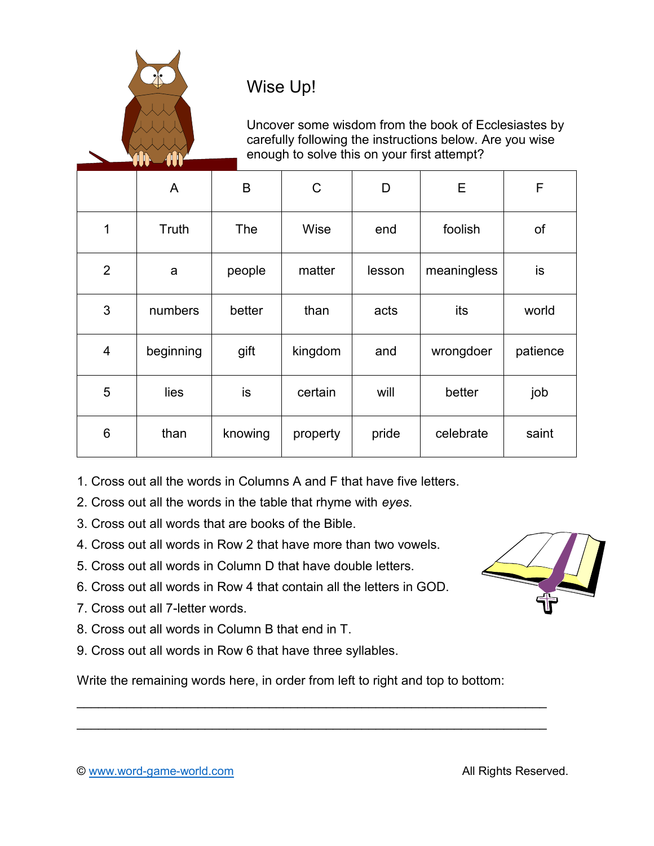

## Wise Up!

Uncover some wisdom from the book of Ecclesiastes by carefully following the instructions below. Are you wise enough to solve this on your first attempt?

|                | A         | B          | C        | D      | E           | F        |
|----------------|-----------|------------|----------|--------|-------------|----------|
| 1              | Truth     | <b>The</b> | Wise     | end    | foolish     | of       |
| $\overline{2}$ | a         | people     | matter   | lesson | meaningless | is       |
| 3              | numbers   | better     | than     | acts   | its         | world    |
| 4              | beginning | gift       | kingdom  | and    | wrongdoer   | patience |
| 5              | lies      | is         | certain  | will   | better      | job      |
| 6              | than      | knowing    | property | pride  | celebrate   | saint    |

1. Cross out all the words in Columns A and F that have five letters.

- 2. Cross out all the words in the table that rhyme with *eyes*.
- 3. Cross out all words that are books of the Bible.
- 4. Cross out all words in Row 2 that have more than two vowels.
- 5. Cross out all words in Column D that have double letters.
- 6. Cross out all words in Row 4 that contain all the letters in GOD.
- 7. Cross out all 7-letter words.
- 8. Cross out all words in Column B that end in T.
- 9. Cross out all words in Row 6 that have three syllables.

Write the remaining words here, in order from left to right and top to bottom:

 $\overline{\phantom{a}}$  , and the contribution of the contribution of the contribution of the contribution of the contribution of the contribution of the contribution of the contribution of the contribution of the contribution of the  $\overline{\phantom{a}}$ 



© www.word-game-world.com **All Rights Reserved.**